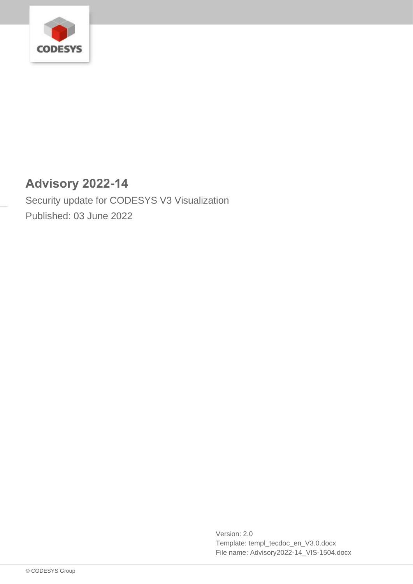

# **Advisory 2022-14**

Security update for CODESYS V3 Visualization Published: 03 June 2022

> Version: 2.0 Template: templ\_tecdoc\_en\_V3.0.docx File name: Advisory2022-14\_VIS-1504.docx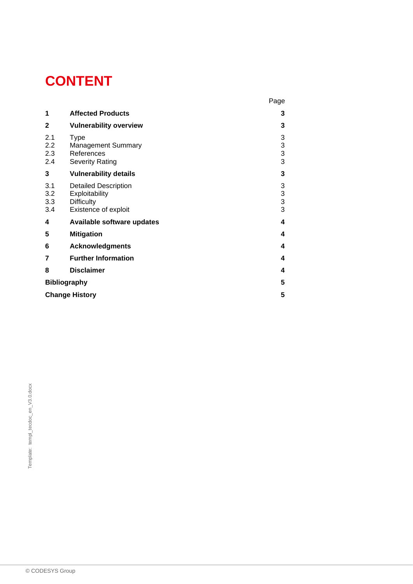# **CONTENT**

|                          |                                                                                            | Page                                       |
|--------------------------|--------------------------------------------------------------------------------------------|--------------------------------------------|
| 1                        | <b>Affected Products</b>                                                                   | 3                                          |
| $\mathbf{2}$             | <b>Vulnerability overview</b>                                                              | 3                                          |
| 2.1<br>2.2<br>2.3<br>2.4 | <b>Type</b><br><b>Management Summary</b><br>References<br><b>Severity Rating</b>           | 3<br>$\begin{array}{c} 3 \\ 3 \end{array}$ |
| 3                        | <b>Vulnerability details</b>                                                               | 3                                          |
| 3.1<br>3.2<br>3.3<br>3.4 | <b>Detailed Description</b><br>Exploitability<br><b>Difficulty</b><br>Existence of exploit | $\begin{array}{c} 3 \\ 3 \\ 3 \end{array}$ |
| 4                        | Available software updates                                                                 | 4                                          |
| 5                        | <b>Mitigation</b>                                                                          | 4                                          |
| 6                        | <b>Acknowledgments</b>                                                                     | 4                                          |
| 7                        | <b>Further Information</b>                                                                 | 4                                          |
| 8                        | <b>Disclaimer</b>                                                                          | 4                                          |
| <b>Bibliography</b>      |                                                                                            | 5                                          |
| <b>Change History</b>    |                                                                                            |                                            |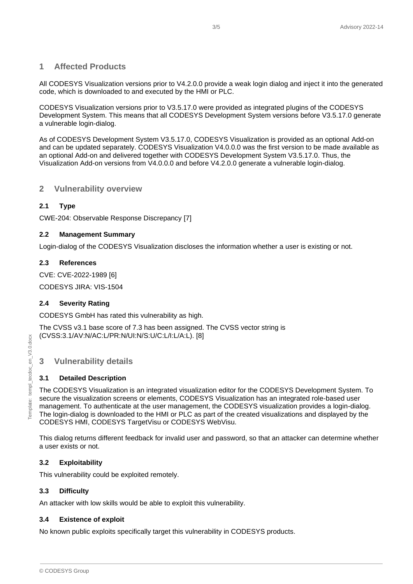# <span id="page-2-0"></span>**1 Affected Products**

All CODESYS Visualization versions prior to V4.2.0.0 provide a weak login dialog and inject it into the generated code, which is downloaded to and executed by the HMI or PLC.

CODESYS Visualization versions prior to V3.5.17.0 were provided as integrated plugins of the CODESYS Development System. This means that all CODESYS Development System versions before V3.5.17.0 generate a vulnerable login-dialog.

As of CODESYS Development System V3.5.17.0, CODESYS Visualization is provided as an optional Add-on and can be updated separately. CODESYS Visualization V4.0.0.0 was the first version to be made available as an optional Add-on and delivered together with CODESYS Development System V3.5.17.0. Thus, the Visualization Add-on versions from V4.0.0.0 and before V4.2.0.0 generate a vulnerable login-dialog.

#### <span id="page-2-1"></span>**2 Vulnerability overview**

#### <span id="page-2-2"></span>**2.1 Type**

CWE-204: Observable Response Discrepancy [7]

#### <span id="page-2-3"></span>**2.2 Management Summary**

Login-dialog of the CODESYS Visualization discloses the information whether a user is existing or not.

#### <span id="page-2-4"></span>**2.3 References**

CVE: CVE-2022-1989 [6]

CODESYS JIRA: VIS-1504

#### <span id="page-2-5"></span>**2.4 Severity Rating**

CODESYS GmbH has rated this vulnerability as high.

The CVSS v3.1 base score of 7.3 has been assigned. The CVSS vector string is (CVSS:3.1/AV:N/AC:L/PR:N/UI:N/S:U/C:L/I:L/A:L). [8]

# <span id="page-2-6"></span>**3 Vulnerability details**

#### <span id="page-2-7"></span>**3.1 Detailed Description**

The CODESYS Visualization is an integrated visualization editor for the CODESYS Development System. To secure the visualization screens or elements, CODESYS Visualization has an integrated role-based user management. To authenticate at the user management, the CODESYS visualization provides a login-dialog. The login-dialog is downloaded to the HMI or PLC as part of the created visualizations and displayed by the CODESYS HMI, CODESYS TargetVisu or CODESYS WebVisu.

This dialog returns different feedback for invalid user and password, so that an attacker can determine whether a user exists or not.

#### <span id="page-2-8"></span>**3.2 Exploitability**

This vulnerability could be exploited remotely.

#### <span id="page-2-9"></span>**3.3 Difficulty**

An attacker with low skills would be able to exploit this vulnerability.

#### <span id="page-2-10"></span>**3.4 Existence of exploit**

No known public exploits specifically target this vulnerability in CODESYS products.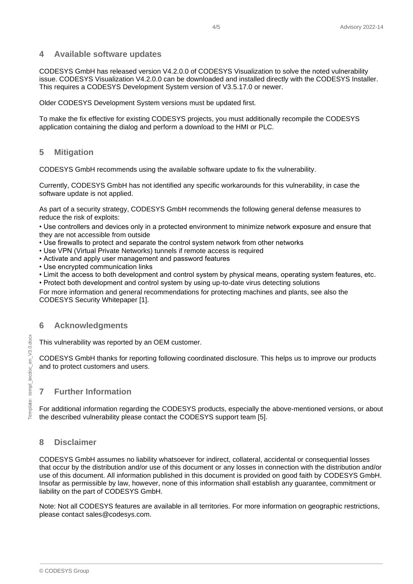#### <span id="page-3-0"></span>**4 Available software updates**

CODESYS GmbH has released version V4.2.0.0 of CODESYS Visualization to solve the noted vulnerability issue. CODESYS Visualization V4.2.0.0 can be downloaded and installed directly with the CODESYS Installer. This requires a CODESYS Development System version of V3.5.17.0 or newer.

Older CODESYS Development System versions must be updated first.

To make the fix effective for existing CODESYS projects, you must additionally recompile the CODESYS application containing the dialog and perform a download to the HMI or PLC.

# <span id="page-3-1"></span>**5 Mitigation**

CODESYS GmbH recommends using the available software update to fix the vulnerability.

Currently, CODESYS GmbH has not identified any specific workarounds for this vulnerability, in case the software update is not applied.

As part of a security strategy, CODESYS GmbH recommends the following general defense measures to reduce the risk of exploits:

• Use controllers and devices only in a protected environment to minimize network exposure and ensure that they are not accessible from outside

- Use firewalls to protect and separate the control system network from other networks
- Use VPN (Virtual Private Networks) tunnels if remote access is required
- Activate and apply user management and password features
- Use encrypted communication links
- Limit the access to both development and control system by physical means, operating system features, etc.
- Protect both development and control system by using up-to-date virus detecting solutions

For more information and general recommendations for protecting machines and plants, see also the CODESYS Security Whitepaper [1].

#### <span id="page-3-2"></span>**6 Acknowledgments**

This vulnerability was reported by an OEM customer.

CODESYS GmbH thanks for reporting following coordinated disclosure. This helps us to improve our products and to protect customers and users.

#### <span id="page-3-3"></span>**7 Further Information**

For additional information regarding the CODESYS products, especially the above-mentioned versions, or about the described vulnerability please contact the CODESYS support team [5].

# <span id="page-3-4"></span>**8 Disclaimer**

CODESYS GmbH assumes no liability whatsoever for indirect, collateral, accidental or consequential losses that occur by the distribution and/or use of this document or any losses in connection with the distribution and/or use of this document. All information published in this document is provided on good faith by CODESYS GmbH. Insofar as permissible by law, however, none of this information shall establish any guarantee, commitment or liability on the part of CODESYS GmbH.

Note: Not all CODESYS features are available in all territories. For more information on geographic restrictions, please contact sales@codesys.com.